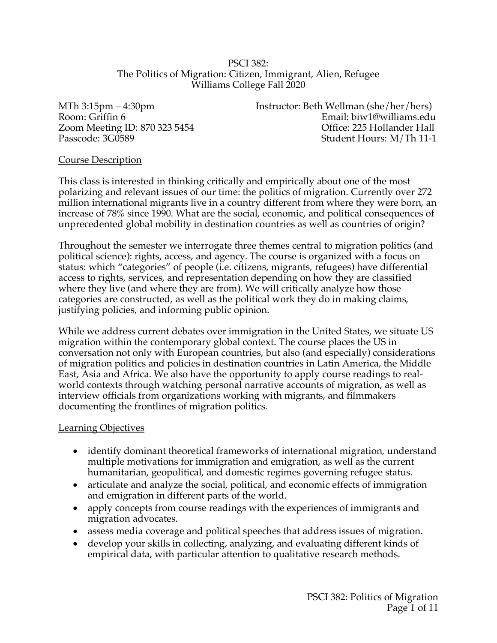### PSCI 382: The Politics of Migration: Citizen, Immigrant, Alien, Refugee Williams College Fall 2020

MTh 3:15pm – 4:30pm Instructor: Beth Wellman (she/her/hers) Room: Griffin 6 **Email:** biw1@williams.edu Zoom Meeting ID: 870 323 5454 Office: 225 Hollander Hall Passcode: 3G0589 Student Hours: M/Th 11-1

## Course Description

This class is interested in thinking critically and empirically about one of the most polarizing and relevant issues of our time: the politics of migration. Currently over 272 million international migrants live in a country different from where they were born, an increase of 78% since 1990. What are the social, economic, and political consequences of unprecedented global mobility in destination countries as well as countries of origin?

Throughout the semester we interrogate three themes central to migration politics (and political science): rights, access, and agency. The course is organized with a focus on status: which "categories" of people (i.e. citizens, migrants, refugees) have differential access to rights, services, and representation depending on how they are classified where they live (and where they are from). We will critically analyze how those categories are constructed, as well as the political work they do in making claims, justifying policies, and informing public opinion.

While we address current debates over immigration in the United States, we situate US migration within the contemporary global context. The course places the US in conversation not only with European countries, but also (and especially) considerations of migration politics and policies in destination countries in Latin America, the Middle East, Asia and Africa. We also have the opportunity to apply course readings to realworld contexts through watching personal narrative accounts of migration, as well as interview officials from organizations working with migrants, and filmmakers documenting the frontlines of migration politics.

## Learning Objectives

- identify dominant theoretical frameworks of international migration, understand multiple motivations for immigration and emigration, as well as the current humanitarian, geopolitical, and domestic regimes governing refugee status.
- articulate and analyze the social, political, and economic effects of immigration and emigration in different parts of the world.
- apply concepts from course readings with the experiences of immigrants and migration advocates.
- assess media coverage and political speeches that address issues of migration.
- develop your skills in collecting, analyzing, and evaluating different kinds of empirical data, with particular attention to qualitative research methods.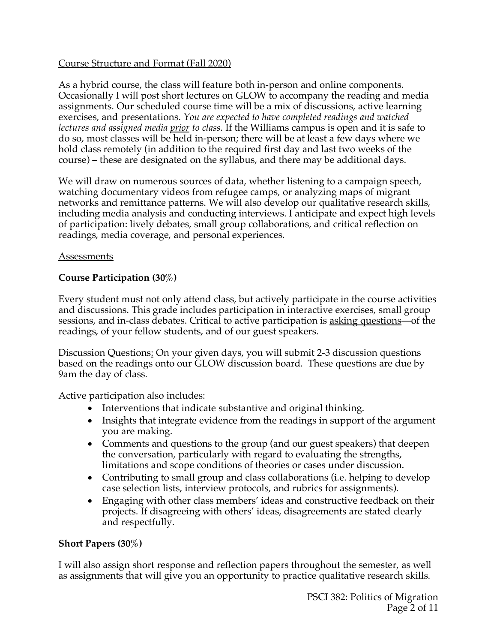# Course Structure and Format (Fall 2020)

As a hybrid course, the class will feature both in-person and online components. Occasionally I will post short lectures on GLOW to accompany the reading and media assignments. Our scheduled course time will be a mix of discussions, active learning exercises, and presentations. *You are expected to have completed readings and watched lectures and assigned media prior to class.* If the Williams campus is open and it is safe to do so, most classes will be held in-person; there will be at least a few days where we hold class remotely (in addition to the required first day and last two weeks of the course) – these are designated on the syllabus, and there may be additional days.

We will draw on numerous sources of data, whether listening to a campaign speech, watching documentary videos from refugee camps, or analyzing maps of migrant networks and remittance patterns. We will also develop our qualitative research skills, including media analysis and conducting interviews. I anticipate and expect high levels of participation: lively debates, small group collaborations, and critical reflection on readings, media coverage, and personal experiences.

# Assessments

# **Course Participation (30%)**

Every student must not only attend class, but actively participate in the course activities and discussions. This grade includes participation in interactive exercises, small group sessions, and in-class debates. Critical to active participation is asking questions—of the readings, of your fellow students, and of our guest speakers.

Discussion Questions: On your given days, you will submit 2-3 discussion questions based on the readings onto our GLOW discussion board. These questions are due by 9am the day of class.

Active participation also includes:

- Interventions that indicate substantive and original thinking.
- Insights that integrate evidence from the readings in support of the argument you are making.
- Comments and questions to the group (and our guest speakers) that deepen the conversation, particularly with regard to evaluating the strengths, limitations and scope conditions of theories or cases under discussion.
- Contributing to small group and class collaborations (i.e. helping to develop case selection lists, interview protocols, and rubrics for assignments).
- Engaging with other class members' ideas and constructive feedback on their projects. If disagreeing with others' ideas, disagreements are stated clearly and respectfully.

# **Short Papers (30%)**

I will also assign short response and reflection papers throughout the semester, as well as assignments that will give you an opportunity to practice qualitative research skills.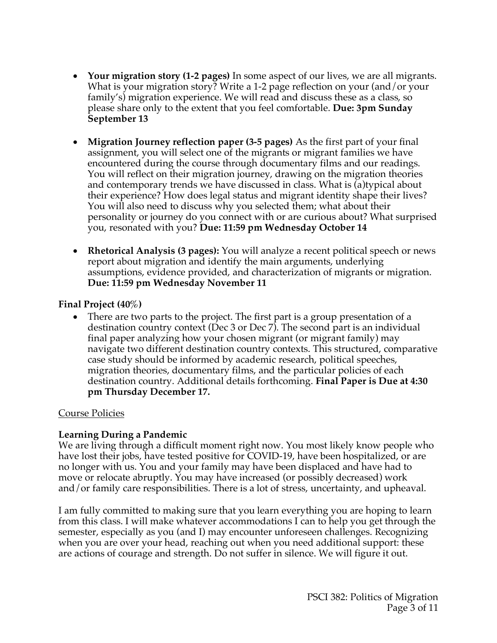- **Your migration story (1-2 pages)** In some aspect of our lives, we are all migrants. What is your migration story? Write a 1-2 page reflection on your (and/or your family's) migration experience. We will read and discuss these as a class, so please share only to the extent that you feel comfortable. **Due: 3pm Sunday September 13**
- **Migration Journey reflection paper (3-5 pages)** As the first part of your final assignment, you will select one of the migrants or migrant families we have encountered during the course through documentary films and our readings. You will reflect on their migration journey, drawing on the migration theories and contemporary trends we have discussed in class. What is (a)typical about their experience? How does legal status and migrant identity shape their lives? You will also need to discuss why you selected them; what about their personality or journey do you connect with or are curious about? What surprised you, resonated with you? **Due: 11:59 pm Wednesday October 14**
- **Rhetorical Analysis (3 pages):** You will analyze a recent political speech or news report about migration and identify the main arguments, underlying assumptions, evidence provided, and characterization of migrants or migration. **Due: 11:59 pm Wednesday November 11**

# **Final Project (40%)**

• There are two parts to the project. The first part is a group presentation of a destination country context (Dec 3 or Dec 7). The second part is an individual final paper analyzing how your chosen migrant (or migrant family) may navigate two different destination country contexts. This structured, comparative case study should be informed by academic research, political speeches, migration theories, documentary films, and the particular policies of each destination country. Additional details forthcoming. **Final Paper is Due at 4:30 pm Thursday December 17.** 

# Course Policies

# **Learning During a Pandemic**

We are living through a difficult moment right now. You most likely know people who have lost their jobs, have tested positive for COVID-19, have been hospitalized, or are no longer with us. You and your family may have been displaced and have had to move or relocate abruptly. You may have increased (or possibly decreased) work and/or family care responsibilities. There is a lot of stress, uncertainty, and upheaval.

I am fully committed to making sure that you learn everything you are hoping to learn from this class. I will make whatever accommodations I can to help you get through the semester, especially as you (and I) may encounter unforeseen challenges. Recognizing when you are over your head, reaching out when you need additional support: these are actions of courage and strength. Do not suffer in silence. We will figure it out.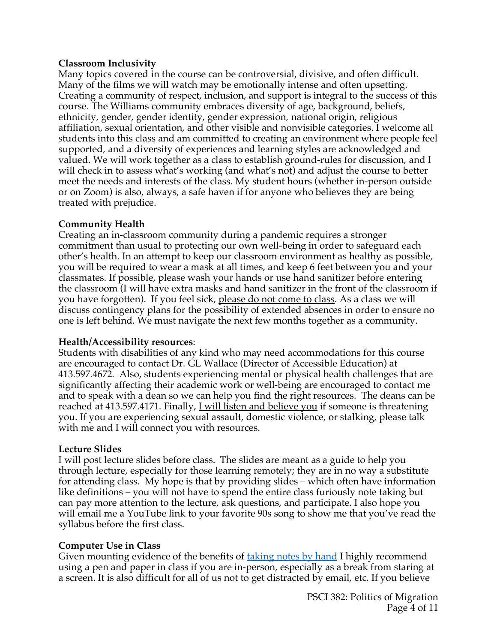## **Classroom Inclusivity**

Many topics covered in the course can be controversial, divisive, and often difficult. Many of the films we will watch may be emotionally intense and often upsetting. Creating a community of respect, inclusion, and support is integral to the success of this course. The Williams community embraces diversity of age, background, beliefs, ethnicity, gender, gender identity, gender expression, national origin, religious affiliation, sexual orientation, and other visible and nonvisible categories. I welcome all students into this class and am committed to creating an environment where people feel supported, and a diversity of experiences and learning styles are acknowledged and valued. We will work together as a class to establish ground-rules for discussion, and I will check in to assess what's working (and what's not) and adjust the course to better meet the needs and interests of the class. My student hours (whether in-person outside or on Zoom) is also, always, a safe haven if for anyone who believes they are being treated with prejudice.

### **Community Health**

Creating an in-classroom community during a pandemic requires a stronger commitment than usual to protecting our own well-being in order to safeguard each other's health. In an attempt to keep our classroom environment as healthy as possible, you will be required to wear a mask at all times, and keep 6 feet between you and your classmates. If possible, please wash your hands or use hand sanitizer before entering the classroom (I will have extra masks and hand sanitizer in the front of the classroom if you have forgotten). If you feel sick, please do not come to class. As a class we will discuss contingency plans for the possibility of extended absences in order to ensure no one is left behind. We must navigate the next few months together as a community.

#### **Health/Accessibility resources**:

Students with disabilities of any kind who may need accommodations for this course are encouraged to contact Dr. GL Wallace (Director of Accessible Education) at 413.597.4672. Also, students experiencing mental or physical health challenges that are significantly affecting their academic work or well-being are encouraged to contact me and to speak with a dean so we can help you find the right resources. The deans can be reached at 413.597.4171. Finally, I will listen and believe you if someone is threatening you. If you are experiencing sexual assault, domestic violence, or stalking, please talk with me and I will connect you with resources.

## **Lecture Slides**

I will post lecture slides before class. The slides are meant as a guide to help you through lecture, especially for those learning remotely; they are in no way a substitute for attending class. My hope is that by providing slides – which often have information like definitions – you will not have to spend the entire class furiously note taking but can pay more attention to the lecture, ask questions, and participate. I also hope you will email me a YouTube link to your favorite 90s song to show me that you've read the syllabus before the first class.

## **Computer Use in Class**

Given mounting evidence of the benefits of taking notes by hand I highly recommend using a pen and paper in class if you are in-person, especially as a break from staring at a screen. It is also difficult for all of us not to get distracted by email, etc. If you believe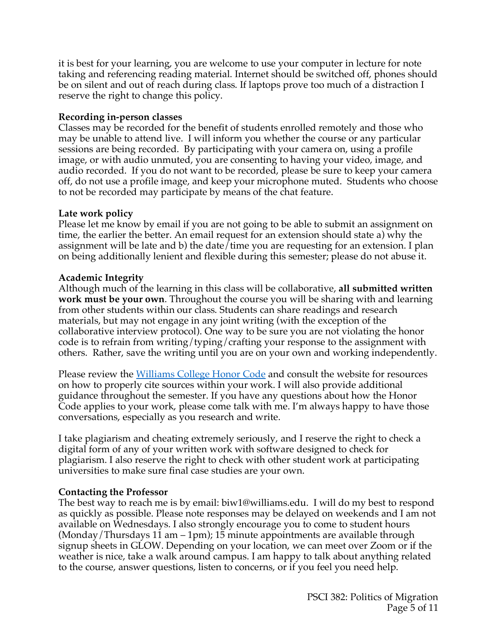it is best for your learning, you are welcome to use your computer in lecture for note taking and referencing reading material. Internet should be switched off, phones should be on silent and out of reach during class. If laptops prove too much of a distraction I reserve the right to change this policy.

# **Recording in-person classes**

Classes may be recorded for the benefit of students enrolled remotely and those who may be unable to attend live. I will inform you whether the course or any particular sessions are being recorded. By participating with your camera on, using a profile image, or with audio unmuted, you are consenting to having your video, image, and audio recorded. If you do not want to be recorded, please be sure to keep your camera off, do not use a profile image, and keep your microphone muted. Students who choose to not be recorded may participate by means of the chat feature.

## **Late work policy**

Please let me know by email if you are not going to be able to submit an assignment on time, the earlier the better. An email request for an extension should state a) why the assignment will be late and b) the date/time you are requesting for an extension. I plan on being additionally lenient and flexible during this semester; please do not abuse it.

## **Academic Integrity**

Although much of the learning in this class will be collaborative, **all submitted written work must be your own**. Throughout the course you will be sharing with and learning from other students within our class. Students can share readings and research materials, but may not engage in any joint writing (with the exception of the collaborative interview protocol). One way to be sure you are not violating the honor code is to refrain from writing/typing/crafting your response to the assignment with others. Rather, save the writing until you are on your own and working independently.

Please review the Williams College Honor Code and consult the website for resources on how to properly cite sources within your work. I will also provide additional guidance throughout the semester. If you have any questions about how the Honor Code applies to your work, please come talk with me. I'm always happy to have those conversations, especially as you research and write.

I take plagiarism and cheating extremely seriously, and I reserve the right to check a digital form of any of your written work with software designed to check for plagiarism. I also reserve the right to check with other student work at participating universities to make sure final case studies are your own.

## **Contacting the Professor**

The best way to reach me is by email: biw1@williams.edu. I will do my best to respond as quickly as possible. Please note responses may be delayed on weekends and I am not available on Wednesdays. I also strongly encourage you to come to student hours (Monday/Thursdays 11 am – 1pm); 15 minute appointments are available through signup sheets in GLOW. Depending on your location, we can meet over Zoom or if the weather is nice, take a walk around campus. I am happy to talk about anything related to the course, answer questions, listen to concerns, or if you feel you need help.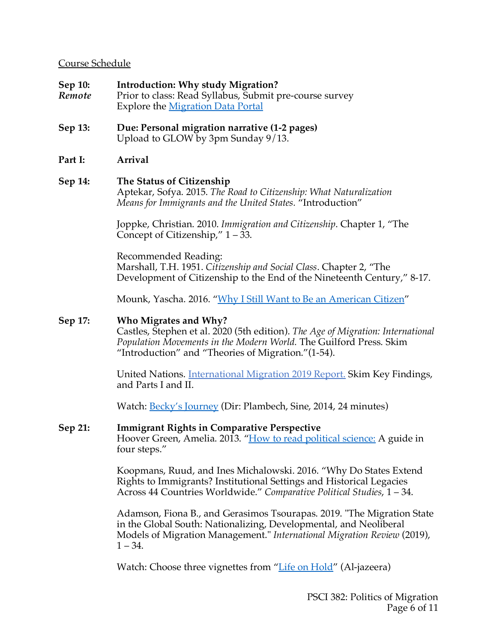### Course Schedule

**Sep 10: Introduction: Why study Migration?** *Remote* Prior to class: Read Syllabus, Submit pre-course survey Explore the Migration Data Portal **Sep 13: Due: Personal migration narrative (1-2 pages)** Upload to GLOW by 3pm Sunday 9/13.

# **Part I: Arrival**

## **Sep 14: The Status of Citizenship**

Aptekar, Sofya. 2015. *The Road to Citizenship: What Naturalization Means for Immigrants and the United States.* "Introduction"

Joppke, Christian. 2010. *Immigration and Citizenship*. Chapter 1, "The Concept of Citizenship," 1 – 33.

Recommended Reading: Marshall, T.H. 1951. *Citizenship and Social Class*. Chapter 2, "The Development of Citizenship to the End of the Nineteenth Century," 8-17.

Mounk, Yascha. 2016. "Why I Still Want to Be an American Citizen"

### **Sep 17: Who Migrates and Why?**

Castles, Stephen et al. 2020 (5th edition). *The Age of Migration: International Population Movements in the Modern World.* The Guilford Press. Skim "Introduction" and "Theories of Migration."(1-54).

United Nations. International Migration 2019 Report. Skim Key Findings, and Parts I and II.

Watch: Becky's Journey (Dir: Plambech, Sine, 2014, 24 minutes)

#### **Sep 21: Immigrant Rights in Comparative Perspective**

Hoover Green, Amelia. 2013. "How to read political science: A guide in four steps."

Koopmans, Ruud, and Ines Michalowski. 2016. "Why Do States Extend Rights to Immigrants? Institutional Settings and Historical Legacies Across 44 Countries Worldwide." *Comparative Political Studies*, 1 – 34.

Adamson, Fiona B., and Gerasimos Tsourapas. 2019. "The Migration State in the Global South: Nationalizing, Developmental, and Neoliberal Models of Migration Management." *International Migration Review* (2019),  $1 - 34.$ 

Watch: Choose three vignettes from "Life on Hold" (Al-jazeera)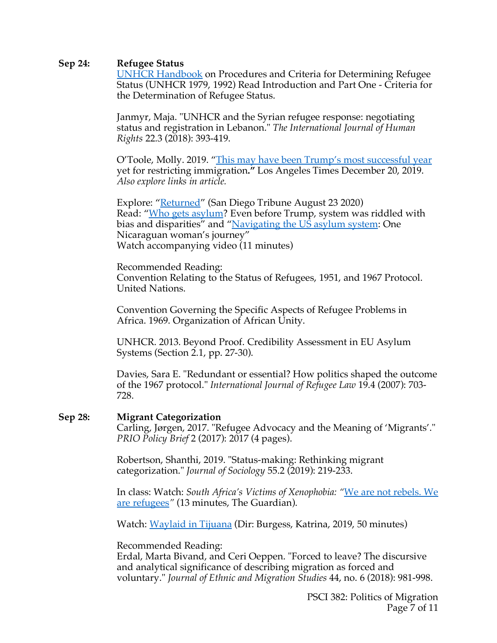#### **Sep 24: Refugee Status**

UNHCR Handbook on Procedures and Criteria for Determining Refugee Status (UNHCR 1979, 1992) Read Introduction and Part One - Criteria for the Determination of Refugee Status.

Janmyr, Maja. "UNHCR and the Syrian refugee response: negotiating status and registration in Lebanon." *The International Journal of Human Rights* 22.3 (2018): 393-419.

O'Toole, Molly. 2019. "This may have been Trump's most successful year yet for restricting immigration**."** Los Angeles Times December 20, 2019. *Also explore links in article.*

Explore: "Returned" (San Diego Tribune August 23 2020) Read: "Who gets asylum? Even before Trump, system was riddled with bias and disparities" and "Navigating the US asylum system: One Nicaraguan woman's journey" Watch accompanying video (11 minutes)

Recommended Reading: Convention Relating to the Status of Refugees, 1951, and 1967 Protocol. United Nations.

Convention Governing the Specific Aspects of Refugee Problems in Africa. 1969. Organization of African Unity.

UNHCR. 2013. Beyond Proof. Credibility Assessment in EU Asylum Systems (Section 2.1, pp. 27-30).

Davies, Sara E. "Redundant or essential? How politics shaped the outcome of the 1967 protocol." *International Journal of Refugee Law* 19.4 (2007): 703- 728.

#### **Sep 28: Migrant Categorization**

Carling, Jørgen, 2017. "Refugee Advocacy and the Meaning of 'Migrants'." *PRIO Policy Brief* 2 (2017): 2017 (4 pages).

Robertson, Shanthi, 2019. "Status-making: Rethinking migrant categorization." *Journal of Sociology* 55.2 (2019): 219-233.

In class: Watch: *South Africa's Victims of Xenophobia: "*We are not rebels. We are refugees*"* (13 minutes, The Guardian).

Watch: Waylaid in Tijuana (Dir: Burgess, Katrina, 2019, 50 minutes)

#### Recommended Reading:

Erdal, Marta Bivand, and Ceri Oeppen. "Forced to leave? The discursive and analytical significance of describing migration as forced and voluntary." *Journal of Ethnic and Migration Studies* 44, no. 6 (2018): 981-998.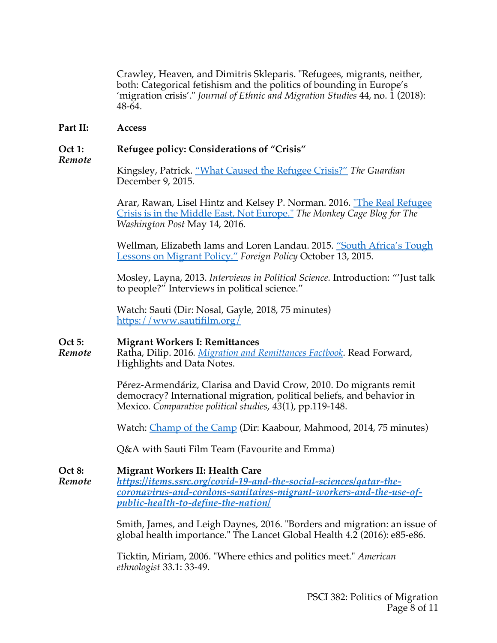Crawley, Heaven, and Dimitris Skleparis. "Refugees, migrants, neither, both: Categorical fetishism and the politics of bounding in Europe's 'migration crisis'." *Journal of Ethnic and Migration Studies* 44, no. 1 (2018): 48-64.

#### **Part II: Access**

### **Oct 1: Refugee policy: Considerations of "Crisis"**

*Remote*

Kingsley, Patrick. "What Caused the Refugee Crisis?" *The Guardian* December 9, 2015.

Arar, Rawan, Lisel Hintz and Kelsey P. Norman. 2016. "The Real Refugee Crisis is in the Middle East, Not Europe." *The Monkey Cage Blog for The Washington Post* May 14, 2016.

Wellman, Elizabeth Iams and Loren Landau. 2015. "South Africa's Tough Lessons on Migrant Policy." *Foreign Policy* October 13, 2015.

Mosley, Layna, 2013. *Interviews in Political Science.* Introduction: "'Just talk to people?" Interviews in political science."

Watch: Sauti (Dir: Nosal, Gayle, 2018, 75 minutes) https://www.sautifilm.org/

#### **Oct 5: Migrant Workers I: Remittances**

*Remote* Ratha, Dilip. 2016*. Migration and Remittances Factbook*. Read Forward, Highlights and Data Notes.

> Pérez-Armendáriz, Clarisa and David Crow, 2010. Do migrants remit democracy? International migration, political beliefs, and behavior in Mexico. *Comparative political studies*, *43*(1), pp.119-148.

Watch: Champ of the Camp (Dir: Kaabour, Mahmood, 2014, 75 minutes)

Q&A with Sauti Film Team (Favourite and Emma)

**Oct 8: Migrant Workers II: Health Care**  *Remote https://items.ssrc.org/covid-19-and-the-social-sciences/qatar-thecoronavirus-and-cordons-sanitaires-migrant-workers-and-the-use-ofpublic-health-to-define-the-nation/*

> Smith, James, and Leigh Daynes, 2016. "Borders and migration: an issue of global health importance." The Lancet Global Health 4.2 (2016): e85-e86.

Ticktin, Miriam, 2006. "Where ethics and politics meet." *American ethnologist* 33.1: 33-49.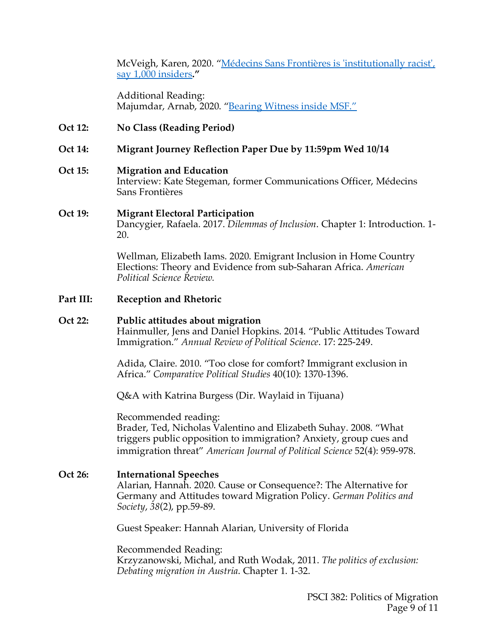McVeigh, Karen, 2020. "Médecins Sans Frontières is 'institutionally racist', say 1,000 insiders**."**

Additional Reading: Majumdar, Arnab, 2020. "Bearing Witness inside MSF."

**Oct 12: No Class (Reading Period)** 

### **Oct 14: Migrant Journey Reflection Paper Due by 11:59pm Wed 10/14**

#### **Oct 15: Migration and Education**

Interview: Kate Stegeman, former Communications Officer, Médecins Sans Frontières

#### **Oct 19: Migrant Electoral Participation**

Dancygier, Rafaela. 2017. *Dilemmas of Inclusion*. Chapter 1: Introduction. 1- 20.

Wellman, Elizabeth Iams. 2020. Emigrant Inclusion in Home Country Elections: Theory and Evidence from sub-Saharan Africa. *American Political Science Review.*

**Part III: Reception and Rhetoric** 

#### **Oct 22: Public attitudes about migration**

Hainmuller, Jens and Daniel Hopkins. 2014. "Public Attitudes Toward Immigration." *Annual Review of Political Science*. 17: 225-249.

Adida, Claire. 2010. "Too close for comfort? Immigrant exclusion in Africa." *Comparative Political Studies* 40(10): 1370-1396.

Q&A with Katrina Burgess (Dir. Waylaid in Tijuana)

Recommended reading:

Brader, Ted, Nicholas Valentino and Elizabeth Suhay. 2008. "What triggers public opposition to immigration? Anxiety, group cues and immigration threat" *American Journal of Political Science* 52(4): 959-978.

#### **Oct 26: International Speeches**

Alarian, Hannah. 2020. Cause or Consequence?: The Alternative for Germany and Attitudes toward Migration Policy. *German Politics and Society*, *38*(2), pp.59-89.

Guest Speaker: Hannah Alarian, University of Florida

Recommended Reading:

Krzyzanowski, Michal, and Ruth Wodak, 2011. *The politics of exclusion: Debating migration in Austria*. Chapter 1. 1-32.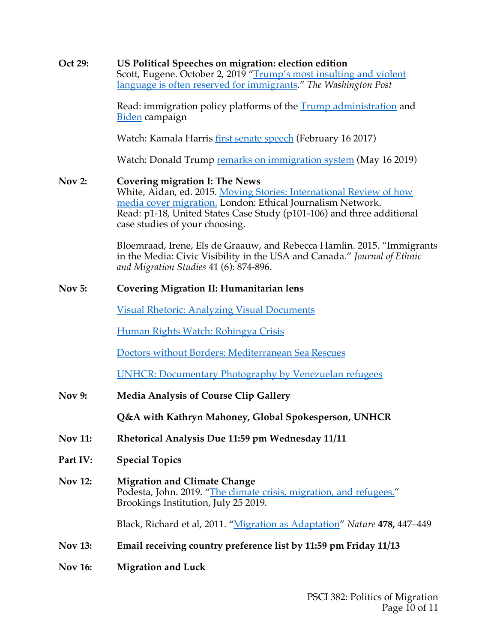| Oct 29:        | US Political Speeches on migration: election edition<br>Scott, Eugene. October 2, 2019 "Trump's most insulting and violent<br>language is often reserved for immigrants." The Washington Post                                                                                         |
|----------------|---------------------------------------------------------------------------------------------------------------------------------------------------------------------------------------------------------------------------------------------------------------------------------------|
|                | Read: immigration policy platforms of the <b>Trump</b> administration and<br>Biden campaign                                                                                                                                                                                           |
|                | Watch: Kamala Harris first senate speech (February 16 2017)                                                                                                                                                                                                                           |
|                | Watch: Donald Trump remarks on immigration system (May 16 2019)                                                                                                                                                                                                                       |
| <b>Nov 2:</b>  | <b>Covering migration I: The News</b><br>White, Aidan, ed. 2015. Moving Stories: International Review of how<br>media cover migration. London: Ethical Journalism Network.<br>Read: p1-18, United States Case Study (p101-106) and three additional<br>case studies of your choosing. |
|                | Bloemraad, Irene, Els de Graauw, and Rebecca Hamlin. 2015. "Immigrants<br>in the Media: Civic Visibility in the USA and Canada." Journal of Ethnic<br>and Migration Studies 41 (6): 874-896.                                                                                          |
| <b>Nov 5:</b>  | <b>Covering Migration II: Humanitarian lens</b>                                                                                                                                                                                                                                       |
|                | <b>Visual Rhetoric: Analyzing Visual Documents</b>                                                                                                                                                                                                                                    |
|                | Human Rights Watch: Rohingya Crisis                                                                                                                                                                                                                                                   |
|                | Doctors without Borders: Mediterranean Sea Rescues                                                                                                                                                                                                                                    |
|                | <b>UNHCR: Documentary Photography by Venezuelan refugees</b>                                                                                                                                                                                                                          |
| <b>Nov 9:</b>  | <b>Media Analysis of Course Clip Gallery</b>                                                                                                                                                                                                                                          |
|                | Q&A with Kathryn Mahoney, Global Spokesperson, UNHCR                                                                                                                                                                                                                                  |
| <b>Nov 11:</b> | Rhetorical Analysis Due 11:59 pm Wednesday 11/11                                                                                                                                                                                                                                      |
| Part IV:       | <b>Special Topics</b>                                                                                                                                                                                                                                                                 |
| <b>Nov 12:</b> | <b>Migration and Climate Change</b><br>Podesta, John. 2019. "The climate crisis, migration, and refugees."<br>Brookings Institution, July 25 2019.                                                                                                                                    |
|                | Black, Richard et al, 2011. "Migration as Adaptation" Nature 478, 447–449                                                                                                                                                                                                             |
| <b>Nov 13:</b> | Email receiving country preference list by 11:59 pm Friday 11/13                                                                                                                                                                                                                      |
| <b>Nov 16:</b> | <b>Migration and Luck</b>                                                                                                                                                                                                                                                             |